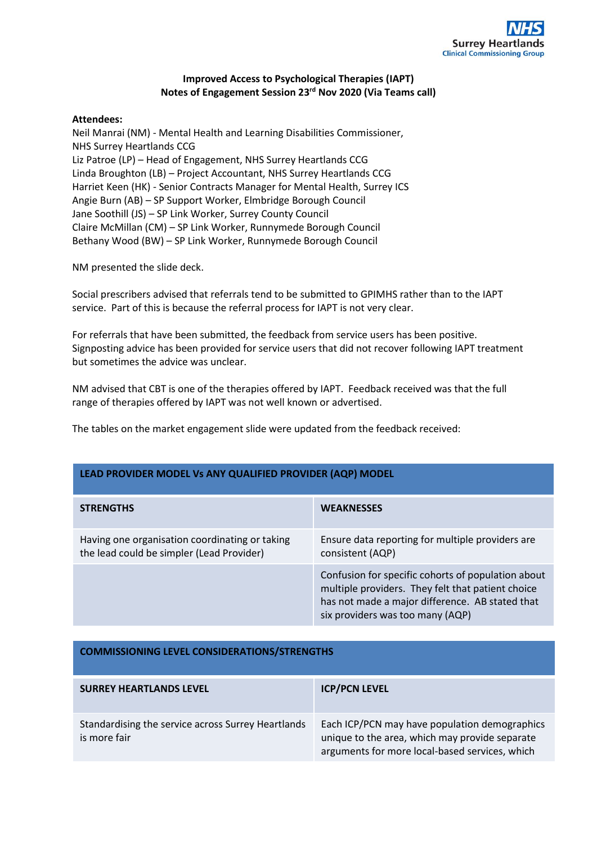

## **Improved Access to Psychological Therapies (IAPT) Notes of Engagement Session 23rd Nov 2020 (Via Teams call)**

## **Attendees:**

Neil Manrai (NM) - Mental Health and Learning Disabilities Commissioner, NHS Surrey Heartlands CCG Liz Patroe (LP) – Head of Engagement, NHS Surrey Heartlands CCG Linda Broughton (LB) – Project Accountant, NHS Surrey Heartlands CCG Harriet Keen (HK) - Senior Contracts Manager for Mental Health, Surrey ICS Angie Burn (AB) – SP Support Worker, Elmbridge Borough Council Jane Soothill (JS) – SP Link Worker, Surrey County Council Claire McMillan (CM) – SP Link Worker, Runnymede Borough Council Bethany Wood (BW) – SP Link Worker, Runnymede Borough Council

NM presented the slide deck.

Social prescribers advised that referrals tend to be submitted to GPIMHS rather than to the IAPT service. Part of this is because the referral process for IAPT is not very clear.

For referrals that have been submitted, the feedback from service users has been positive. Signposting advice has been provided for service users that did not recover following IAPT treatment but sometimes the advice was unclear.

NM advised that CBT is one of the therapies offered by IAPT. Feedback received was that the full range of therapies offered by IAPT was not well known or advertised.

The tables on the market engagement slide were updated from the feedback received:

## **LEAD PROVIDER MODEL Vs ANY QUALIFIED PROVIDER (AQP) MODEL**

| <b>STRENGTHS</b>                                                                            | <b>WEAKNESSES</b>                                                                                                                                                                              |
|---------------------------------------------------------------------------------------------|------------------------------------------------------------------------------------------------------------------------------------------------------------------------------------------------|
| Having one organisation coordinating or taking<br>the lead could be simpler (Lead Provider) | Ensure data reporting for multiple providers are<br>consistent (AQP)                                                                                                                           |
|                                                                                             | Confusion for specific cohorts of population about<br>multiple providers. They felt that patient choice<br>has not made a major difference. AB stated that<br>six providers was too many (AQP) |

## **COMMISSIONING LEVEL CONSIDERATIONS/STRENGTHS**

| <b>SURREY HEARTLANDS LEVEL</b>                                     | <b>ICP/PCN LEVEL</b>                                                                                                                              |
|--------------------------------------------------------------------|---------------------------------------------------------------------------------------------------------------------------------------------------|
| Standardising the service across Surrey Heartlands<br>is more fair | Each ICP/PCN may have population demographics<br>unique to the area, which may provide separate<br>arguments for more local-based services, which |